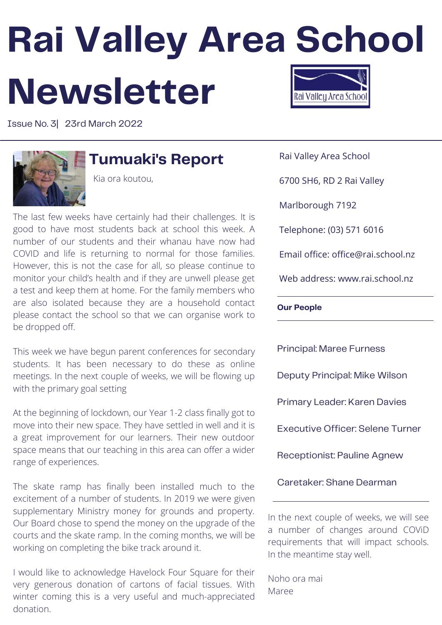# **Rai Valley Area School Newsletter** Rai Valleu Area Schoo

Issue No. 3| 23rd March 2022



### **Tumuaki's Report**

Kia ora koutou,

The last few weeks have certainly had their challenges. It is good to have most students back at school this week. A number of our students and their whanau have now had COVID and life is returning to normal for those families. However, this is not the case for all, so please continue to monitor your child's health and if they are unwell please get a test and keep them at home. For the family members who are also isolated because they are a household contact please contact the school so that we can organise work to be dropped off.

This week we have begun parent conferences for secondary students. It has been necessary to do these as online meetings. In the next couple of weeks, we will be flowing up with the primary goal setting

At the beginning of lockdown, our Year 1-2 class finally got to move into their new space. They have settled in well and it is a great improvement for our learners. Their new outdoor space means that our teaching in this area can offer a wider range of experiences.

The skate ramp has finally been installed much to the excitement of a number of students. In 2019 we were given supplementary Ministry money for grounds and property. Our Board chose to spend the money on the upgrade of the courts and the skate ramp. In the coming months, we will be working on completing the bike track around it.

I would like to acknowledge Havelock Four Square for their very generous donation of cartons of facial tissues. With winter coming this is a very useful and much-appreciated donation.

Rai Valley Area School

6700 SH6, RD 2 Rai Valley

Marlborough 7192

Telephone: (03) 571 6016

Email office: office@rai.school.nz

Web address: www.rai.school.nz

**Our People**

Principal: Maree Furness Deputy Principal: Mike Wilson Primary Leader: Karen Davies Executive Officer: Selene Turner Receptionist: Pauline Agnew Caretaker: Shane Dearman

In the next couple of weeks, we will see a number of changes around COViD requirements that will impact schools. In the meantime stay well.

Noho ora mai Maree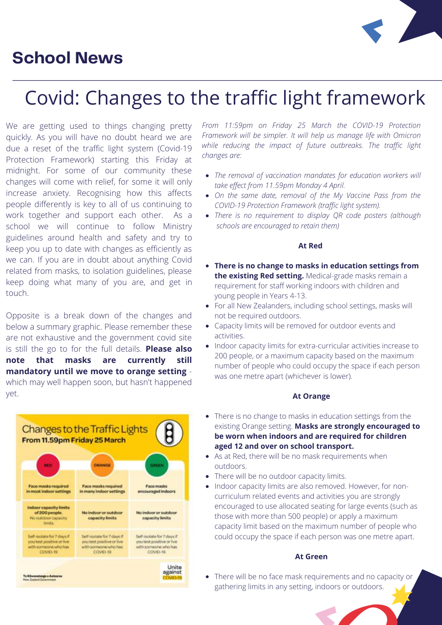### **School News**



## Covid: Changes to the traffic light framework

We are getting used to things changing pretty quickly. As you will have no doubt heard we are due a reset of the traffic light system (Covid-19 Protection Framework) starting this Friday at midnight. For some of our community these changes will come with relief, for some it will only increase anxiety. Recognising how this affects people differently is key to all of us continuing to work together and support each other. As a school we will continue to follow Ministry guidelines around health and safety and try to keep you up to date with changes as efficiently as we can. If you are in doubt about anything Covid related from masks, to isolation guidelines, please keep doing what many of you are, and get in touch.

Opposite is a break down of the changes and below a summary graphic. Please remember these are not exhaustive and the government covid site is still the go to for the full details. **Please also note that masks are currently still mandatory until we move to orange setting** which may well happen soon, but hasn't happened yet.



*From 11:59pm on Friday 25 March the COVID-19 Protection Framework will be simpler. It will help us manage life with Omicron while reducing the impact of future outbreaks. The traffic light changes are:*

- *The removal of vaccination mandates for education workers will take effect from 11.59pm Monday 4 April.*
- *On the same date, removal of the My Vaccine Pass from the COVID-19 Protection Framework (traffic light system).*
- *There is no requirement to display QR code posters (although schools are encouraged to retain them)*

#### **At Red**

- **There is no change to masks in education settings from the existing Red setting.** Medical-grade masks remain a requirement for staff working indoors with children and young people in Years 4-13.
- For all New Zealanders, including school settings, masks will not be required outdoors.
- Capacity limits will be removed for outdoor events and activities.
- Indoor capacity limits for extra-curricular activities increase to 200 people, or a maximum capacity based on the maximum number of people who could occupy the space if each person was one metre apart (whichever is lower).

#### **At Orange**

- There is no change to masks in education settings from the existing Orange setting. **Masks are strongly encouraged to be worn when indoors and are required for children aged 12 and over on school transport.**
- As at Red, there will be no mask requirements when outdoors.
- There will be no outdoor capacity limits.
- Indoor capacity limits are also removed. However, for non- $\bullet$ curriculum related events and activities you are strongly encouraged to use allocated seating for large events (such as those with more than 500 people) or apply a maximum capacity limit based on the maximum number of people who could occupy the space if each person was one metre apart.

#### **At Green**

There will be no face mask requirements and no capacity or gathering limits in any setting, indoors or outdoors.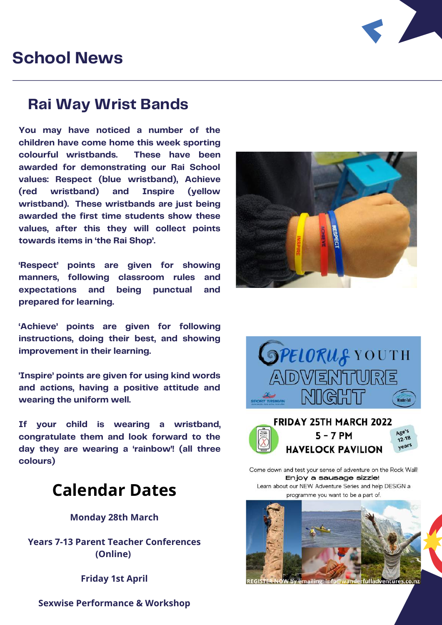### **School News**



### **Rai Way Wrist Bands**

**You may have noticed a number of the children have come home this week sporting colourful wristbands. These have been awarded for demonstrating our Rai School values: Respect (blue wristband), Achieve (red wristband) and Inspire (yellow wristband). These wristbands are just being awarded the first time students show these values, after this they will collect points towards items in 'the Rai Shop'.**

**'Respect' points are given for showing manners, following classroom rules and expectations and being punctual and prepared for learning.**

**'Achieve' points are given for following instructions, doing their best, and showing improvement in their learning.**

**'Inspire' points are given for using kind words and actions, having a positive attitude and wearing the uniform well.**

**If your child is wearing a wristband, congratulate them and look forward to the day they are wearing a 'rainbow'! (all three colours)**

### **Calendar Dates**

**Monday 28th March**

**Years 7-13 Parent Teacher Conferences (Online)**

**Friday 1st April**

**SPELORUS YOUTH** ADWERITURE MIGH



Come down and test your sense of adventure on the Rock Wall! Enjoy a sausage sizzle! Learn about our NEW Adventure Series and help DESIGN a programme you want to be a part of



mailing: info

**Sexwise Performance & Workshop**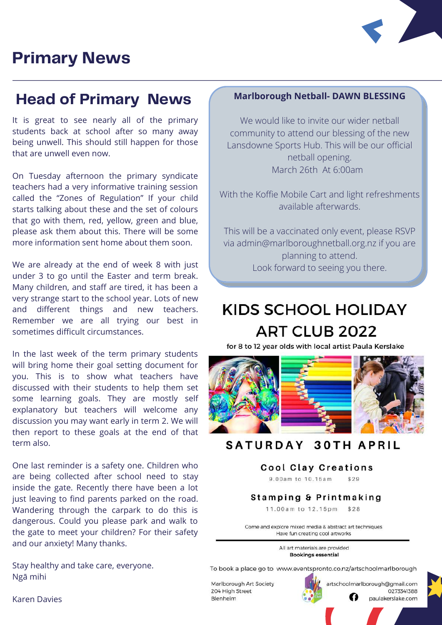### **Primary News**



### **Head of Primary News Marlborough Netball- DAWN BLESSING**

It is great to see nearly all of the primary students back at school after so many away being unwell. This should still happen for those that are unwell even now.

On Tuesday afternoon the primary syndicate teachers had a very informative training session called the "Zones of Regulation" If your child starts talking about these and the set of colours that go with them, red, yellow, green and blue, please ask them about this. There will be some more information sent home about them soon.

We are already at the end of week 8 with just under 3 to go until the Easter and term break. Many children, and staff are tired, it has been a very strange start to the school year. Lots of new and different things and new teachers. Remember we are all trying our best in sometimes difficult circumstances.

In the last week of the term primary students will bring home their goal setting document for you. This is to show what teachers have discussed with their students to help them set some learning goals. They are mostly self explanatory but teachers will welcome any discussion you may want early in term 2. We will then report to these goals at the end of that term also.

One last reminder is a safety one. Children who are being collected after school need to stay inside the gate. Recently there have been a lot just leaving to find parents parked on the road. Wandering through the carpark to do this is dangerous. Could you please park and walk to the gate to meet your children? For their safety and our anxiety! Many thanks.

Stay healthy and take care, everyone. Ngā mihi

We would like to invite our wider netball community to attend our blessing of the new Lansdowne Sports Hub. This will be our official netball opening. March 26th At 6:00am

With the Koffie Mobile Cart and light refreshments available afterwards.

This will be a vaccinated only event, please RSVP via [admin@marlboroughnetball.org.nz](mailto:admin@marlboroughnetball.org.nz) if you are planning to attend. Look forward to seeing you there.

### **KIDS SCHOOL HOLIDAY ART CLUB 2022**

for 8 to 12 year olds with local artist Paula Kerslake



#### **SATURDAY 30TH APRIL**

#### **Cool Clay Creations**

9.00am to 10.15am  $$29$ 

#### Stamping & Printmaking

11.00am to 12.15pm \$28

Come and explore mixed media & abstract art techniques Have fun creating cool artworks

> All art materials are provided **Bookings essential**

To book a place go to www.eventspronto.co.nz/artschoolmarlborough

artschoolmarlborough@gmail.com

O

0273341388

paulakerslake.com

Marlborough Art Society 204 High Street Blenheim

Karen Davies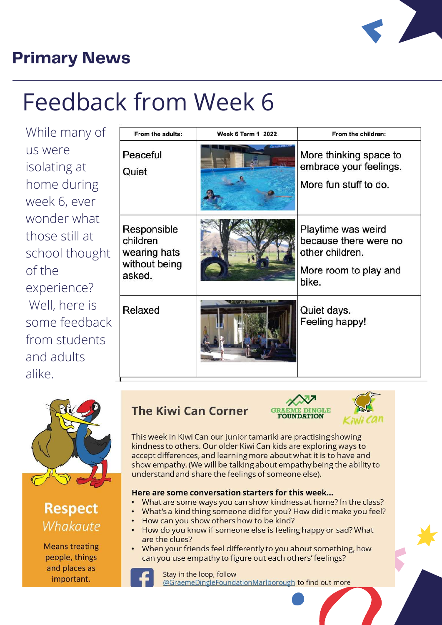

### **Primary News**

## Feedback from Week 6

While many of us were isolating at home during week 6, ever wonder what those still at school thought of the experience? Well, here is some feedback from students and adults alike

| From the adults:                                                   | <b>Week 6 Term 1 2022</b> | From the children:                                                                               |
|--------------------------------------------------------------------|---------------------------|--------------------------------------------------------------------------------------------------|
| Peaceful<br>Quiet                                                  |                           | More thinking space to<br>embrace your feelings.<br>More fun stuff to do.                        |
| Responsible<br>children<br>wearing hats<br>without being<br>asked. |                           | Playtime was weird<br>because there were no<br>other children.<br>More room to play and<br>bike. |
| Relaxed                                                            |                           | Quiet days.<br>Feeling happy!                                                                    |



**Respect** Whakaute

**Means treating** people, things and places as important.

### **The Kiwi Can Corner**

**FOUNDATION** 



This week in Kiwi Can our junior tamariki are practising showing kindness to others. Our older Kiwi Can kids are exploring ways to accept differences, and learning more about what it is to have and show empathy. (We will be talking about empathy being the ability to understand and share the feelings of someone else).

#### Here are some conversation starters for this week...

- What are some ways you can show kindness at home? In the class?
- What's a kind thing someone did for you? How did it make you feel?
- How can you show others how to be kind?
- How do you know if someone else is feeling happy or sad? What are the clues?
- When your friends feel differently to you about something, how can you use empathy to figure out each others' feelings?



Stay in the loop, follow @GraemeDingleFoundationMarlborough to find out more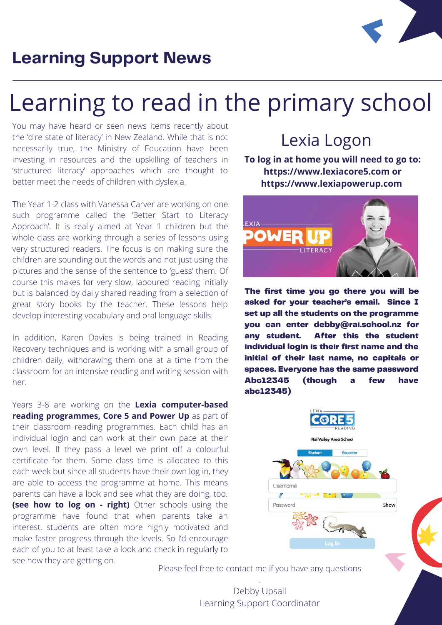

### **Learning Support News**

## Learning to read in the primary school

You may have heard or seen news items recently about the 'dire state of literacy' in New Zealand. While that is not necessarily true, the Ministry of Education have been investing in resources and the upskilling of teachers in 'structured literacy' approaches which are thought to better meet the needs of children with dyslexia.

The Year 1-2 class with Vanessa Carver are working on one such programme called the 'Better Start to Literacy Approach'. It is really aimed at Year 1 children but the whole class are working through a series of lessons using very structured readers. The focus is on making sure the children are sounding out the words and not just using the pictures and the sense of the sentence to 'guess' them. Of course this makes for very slow, laboured reading initially but is balanced by daily shared reading from a selection of great story books by the teacher. These lessons help develop interesting vocabulary and oral language skills.

In addition, Karen Davies is being trained in Reading Recovery techniques and is working with a small group of children daily, withdrawing them one at a time from the classroom for an intensive reading and writing session with her.

Years 3-8 are working on the **Lexia computer-based reading programmes, Core 5 and Power Up** as part of their classroom reading programmes. Each child has an individual login and can work at their own pace at their own level. If they pass a level we print off a colourful certificate for them. Some class time is allocated to this each week but since all students have their own log in, they are able to access the programme at home. This means parents can have a look and see what they are doing, too. **(see how to log on - right)** Other schools using the programme have found that when parents take an interest, students are often more highly motivated and make faster progress through the levels. So I'd encourage each of you to at least take a look and check in regularly to see how they are getting on.

Lexia Logon

**To log in at home you will need to go to: [https://www.lexiacore5.com](https://www.lexiacore5.com/) or [https://www.lexiapowerup.com](https://www.lexiapowerup.com/)**



The first time you go there you will be asked for your teacher's email. Since I set up all the students on the programme you can enter debby@rai.school.nz for any student. After this the student individual login is their first name and the initial of their last name, no capitals or spaces. Everyone has the same password Abc12345 (though a few have abc12345)



Please feel free to contact me if you have any questions .

> Debby Upsall Learning Support Coordinator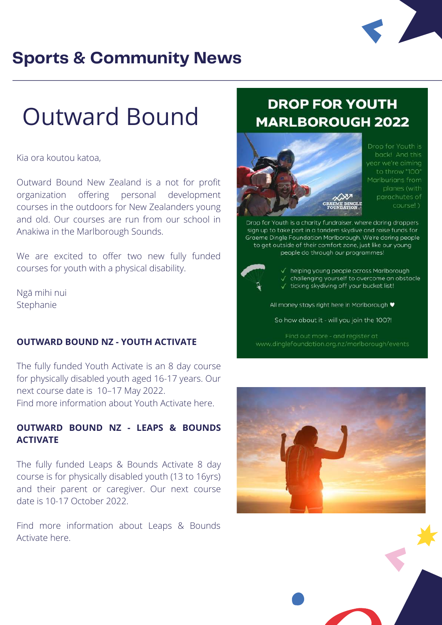

### **Sports & Community News**

## Outward Bound

#### Kia ora koutou katoa,

Outward Bound New Zealand is a not for profit organization offering personal development courses in the outdoors for New Zealanders young and old. Our courses are run from our school in Anakiwa in the Marlborough Sounds.

We are excited to offer two new fully funded courses for youth with a physical disability.

Ngā mihi nui Stephanie

#### **OUTWARD BOUND NZ - YOUTH ACTIVATE**

The fully funded Youth Activate is an 8 day course for physically disabled youth aged 16-17 years. Our next course date is 10–17 May 2022. [Find more information about Youth Activate here.](https://www.outwardbound.co.nz/courses/youth-activate/)

### **OUTWARD BOUND NZ - LEAPS & BOUNDS ACTIVATE**

The fully funded Leaps & Bounds Activate 8 day course is for physically disabled youth (13 to 16yrs) and their parent or caregiver. Our next course date is 10-17 October 2022.

[Find more information about Leaps & Bounds](https://www.outwardbound.co.nz/courses/leaps-and-bounds-activate/) Activate here.

### **DROP FOR YOUTH MARLBOROUGH 2022**



Drop for Youth is year we're aiming to throw \*100\* Marlburians from parachutes of course!)

Drop for Youth is a charity fundraiser, where daring droppers sign up to take part in a tandem skydive and raise funds for Graeme Dingle Foundation Marlborough. We're daring people to get outside of their comfort zone, just like our young people do through our programmes!



√ helping young people across Marlborough challenging yourself to overcome an obstacle √ ticking skydiving off your bucket list!

All money stays right here in Marlborough ♥

So how about it - will you join the 100?!

www.dinglefoundation.org.nz/marlborough/events